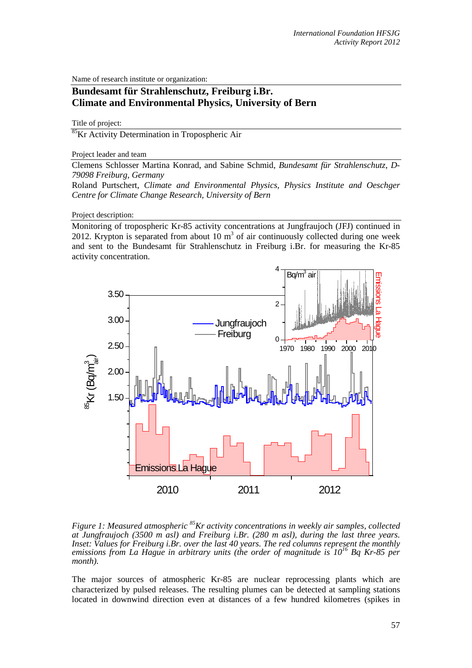Name of research institute or organization:

## **Bundesamt für Strahlenschutz, Freiburg i.Br. Climate and Environmental Physics, University of Bern**

Title of project:

85Kr Activity Determination in Tropospheric Air

Project leader and team

Clemens Schlosser Martina Konrad, and Sabine Schmid, *Bundesamt für Strahlenschutz, D-79098 Freiburg, Germany*

Roland Purtschert, *Climate and Environmental Physics, Physics Institute and Oeschger Centre for Climate Change Research, University of Bern*

Project description:

Monitoring of tropospheric Kr-85 activity concentrations at Jungfraujoch (JFJ) continued in 2012. Krypton is separated from about  $10 \text{ m}^3$  of air continuously collected during one week and sent to the Bundesamt für Strahlenschutz in Freiburg i.Br. for measuring the Kr-85 activity concentration.



*Figure 1: Measured atmospheric* <sup>85</sup>Kr activity concentrations in weekly air samples, collected *at Jungfraujoch (3500 m asl) and Freiburg i.Br. (280 m asl), during the last three years. Inset: Values for Freiburg i.Br. over the last 40 years. The red columns represent the monthly emissions from La Hague in arbitrary units (the order of magnitude is 10<sup>16</sup> Bq Kr-85 per month).* 

The major sources of atmospheric Kr-85 are nuclear reprocessing plants which are characterized by pulsed releases. The resulting plumes can be detected at sampling stations located in downwind direction even at distances of a few hundred kilometres (spikes in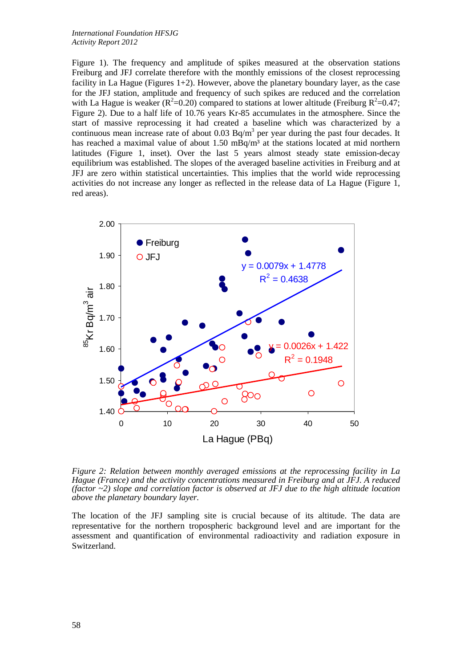## *International Foundation HFSJG Activity Report 2012*

Figure 1). The frequency and amplitude of spikes measured at the observation stations Freiburg and JFJ correlate therefore with the monthly emissions of the closest reprocessing facility in La Hague (Figures  $1+2$ ). However, above the planetary boundary layer, as the case for the JFJ station, amplitude and frequency of such spikes are reduced and the correlation with La Hague is weaker ( $R^2$ =0.20) compared to stations at lower altitude (Freiburg  $R^2$ =0.47; Figure 2). Due to a half life of 10.76 years Kr-85 accumulates in the atmosphere. Since the start of massive reprocessing it had created a baseline which was characterized by a continuous mean increase rate of about 0.03  $Bq/m<sup>3</sup>$  per year during the past four decades. It has reached a maximal value of about 1.50 mBq/m<sup>3</sup> at the stations located at mid northern latitudes (Figure 1, inset). Over the last 5 years almost steady state emission-decay equilibrium was established. The slopes of the averaged baseline activities in Freiburg and at JFJ are zero within statistical uncertainties. This implies that the world wide reprocessing activities do not increase any longer as reflected in the release data of La Hague (Figure 1, red areas).



*Figure 2: Relation between monthly averaged emissions at the reprocessing facility in La Hague (France) and the activity concentrations measured in Freiburg and at JFJ. A reduced (factor ~2) slope and correlation factor is observed at JFJ due to the high altitude location above the planetary boundary layer.* 

The location of the JFJ sampling site is crucial because of its altitude. The data are representative for the northern tropospheric background level and are important for the assessment and quantification of environmental radioactivity and radiation exposure in Switzerland.